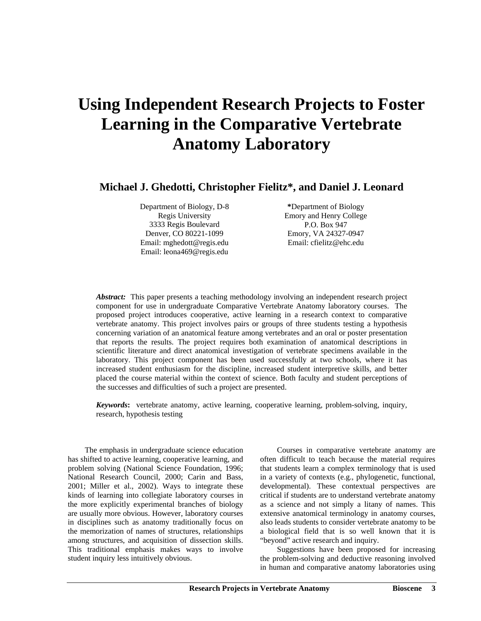# **Using Independent Research Projects to Foster Learning in the Comparative Vertebrate Anatomy Laboratory**

**Michael J. Ghedotti, Christopher Fielitz\*, and Daniel J. Leonard** 

Department of Biology, D-8 Regis University 3333 Regis Boulevard Denver, CO 80221-1099 Email: mghedott@regis.edu Email: leona469@regis.edu

**\***Department of Biology Emory and Henry College P.O. Box 947 Emory, VA 24327-0947 Email: cfielitz@ehc.edu

*Abstract:* This paper presents a teaching methodology involving an independent research project component for use in undergraduate Comparative Vertebrate Anatomy laboratory courses. The proposed project introduces cooperative, active learning in a research context to comparative vertebrate anatomy. This project involves pairs or groups of three students testing a hypothesis concerning variation of an anatomical feature among vertebrates and an oral or poster presentation that reports the results. The project requires both examination of anatomical descriptions in scientific literature and direct anatomical investigation of vertebrate specimens available in the laboratory. This project component has been used successfully at two schools, where it has increased student enthusiasm for the discipline, increased student interpretive skills, and better placed the course material within the context of science. Both faculty and student perceptions of the successes and difficulties of such a project are presented.

*Keywords***:** vertebrate anatomy, active learning, cooperative learning, problem-solving, inquiry, research, hypothesis testing

The emphasis in undergraduate science education has shifted to active learning, cooperative learning, and problem solving (National Science Foundation, 1996; National Research Council, 2000; Carin and Bass, 2001; Miller et al., 2002). Ways to integrate these kinds of learning into collegiate laboratory courses in the more explicitly experimental branches of biology are usually more obvious. However, laboratory courses in disciplines such as anatomy traditionally focus on the memorization of names of structures, relationships among structures, and acquisition of dissection skills. This traditional emphasis makes ways to involve student inquiry less intuitively obvious.

Courses in comparative vertebrate anatomy are often difficult to teach because the material requires that students learn a complex terminology that is used in a variety of contexts (e.g., phylogenetic, functional, developmental). These contextual perspectives are critical if students are to understand vertebrate anatomy as a science and not simply a litany of names. This extensive anatomical terminology in anatomy courses, also leads students to consider vertebrate anatomy to be a biological field that is so well known that it is "beyond" active research and inquiry.

Suggestions have been proposed for increasing the problem-solving and deductive reasoning involved in human and comparative anatomy laboratories using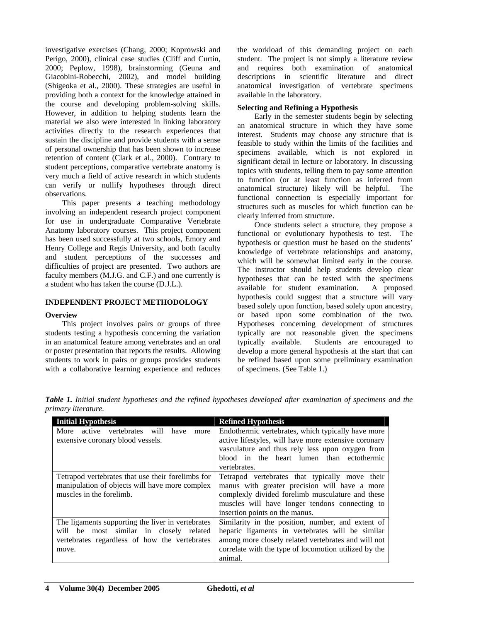investigative exercises (Chang, 2000; Koprowski and Perigo, 2000), clinical case studies (Cliff and Curtin, 2000; Peplow, 1998), brainstorming (Geuna and Giacobini-Robecchi, 2002), and model building (Shigeoka et al., 2000). These strategies are useful in providing both a context for the knowledge attained in the course and developing problem-solving skills. However, in addition to helping students learn the material we also were interested in linking laboratory activities directly to the research experiences that sustain the discipline and provide students with a sense of personal ownership that has been shown to increase retention of content (Clark et al., 2000). Contrary to student perceptions, comparative vertebrate anatomy is very much a field of active research in which students can verify or nullify hypotheses through direct observations.

This paper presents a teaching methodology involving an independent research project component for use in undergraduate Comparative Vertebrate Anatomy laboratory courses. This project component has been used successfully at two schools, Emory and Henry College and Regis University, and both faculty and student perceptions of the successes and difficulties of project are presented. Two authors are faculty members (M.J.G. and C.F.) and one currently is a student who has taken the course (D.J.L.).

#### **INDEPENDENT PROJECT METHODOLOGY**

#### **Overview**

This project involves pairs or groups of three students testing a hypothesis concerning the variation in an anatomical feature among vertebrates and an oral or poster presentation that reports the results. Allowing students to work in pairs or groups provides students with a collaborative learning experience and reduces

the workload of this demanding project on each student. The project is not simply a literature review and requires both examination of anatomical descriptions in scientific literature and direct anatomical investigation of vertebrate specimens available in the laboratory.

#### **Selecting and Refining a Hypothesis**

Early in the semester students begin by selecting an anatomical structure in which they have some interest. Students may choose any structure that is feasible to study within the limits of the facilities and specimens available, which is not explored in significant detail in lecture or laboratory. In discussing topics with students, telling them to pay some attention to function (or at least function as inferred from anatomical structure) likely will be helpful. The functional connection is especially important for structures such as muscles for which function can be clearly inferred from structure.

Once students select a structure, they propose a functional or evolutionary hypothesis to test. The hypothesis or question must be based on the students' knowledge of vertebrate relationships and anatomy, which will be somewhat limited early in the course. The instructor should help students develop clear hypotheses that can be tested with the specimens available for student examination. A proposed hypothesis could suggest that a structure will vary based solely upon function, based solely upon ancestry, or based upon some combination of the two. Hypotheses concerning development of structures typically are not reasonable given the specimens typically available. Students are encouraged to develop a more general hypothesis at the start that can be refined based upon some preliminary examination of specimens. (See Table 1.)

| <b>Initial Hypothesis</b><br>More active vertebrates will have<br>more<br>extensive coronary blood vessels.                                            | <b>Refined Hypothesis</b><br>Endothermic vertebrates, which typically have more<br>active lifestyles, will have more extensive coronary<br>vasculature and thus rely less upon oxygen from<br>blood in the heart lumen than ectothermic                 |
|--------------------------------------------------------------------------------------------------------------------------------------------------------|---------------------------------------------------------------------------------------------------------------------------------------------------------------------------------------------------------------------------------------------------------|
| Tetrapod vertebrates that use their forelimbs for<br>manipulation of objects will have more complex<br>muscles in the forelimb.                        | vertebrates.<br>Tetrapod vertebrates that typically move their<br>manus with greater precision will have a more<br>complexly divided forelimb musculature and these<br>muscles will have longer tendons connecting to<br>insertion points on the manus. |
| The ligaments supporting the liver in vertebrates<br>will be most similar in closely related<br>vertebrates regardless of how the vertebrates<br>move. | Similarity in the position, number, and extent of<br>hepatic ligaments in vertebrates will be similar<br>among more closely related vertebrates and will not<br>correlate with the type of locomotion utilized by the<br>animal.                        |

*Table 1. Initial student hypotheses and the refined hypotheses developed after examination of specimens and the primary literature.*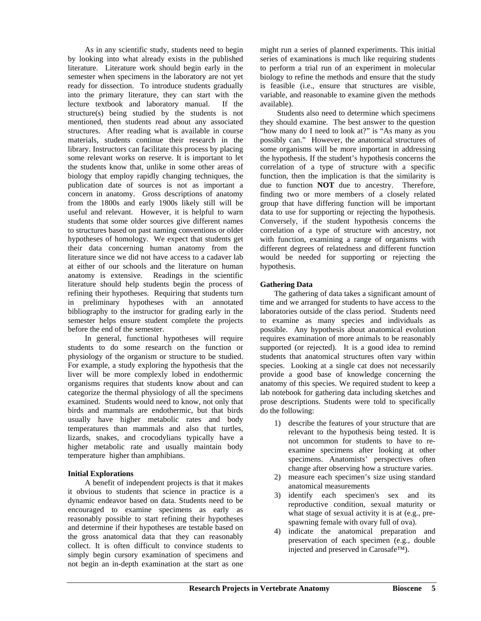As in any scientific study, students need to begin by looking into what already exists in the published literature. Literature work should begin early in the semester when specimens in the laboratory are not yet ready for dissection. To introduce students gradually into the primary literature, they can start with the lecture textbook and laboratory manual. If the structure(s) being studied by the students is not mentioned, then students read about any associated structures. After reading what is available in course materials, students continue their research in the library. Instructors can facilitate this process by placing some relevant works on reserve. It is important to let the students know that, unlike in some other areas of biology that employ rapidly changing techniques, the publication date of sources is not as important a concern in anatomy. Gross descriptions of anatomy from the 1800s and early 1900s likely still will be useful and relevant. However, it is helpful to warn students that some older sources give different names to structures based on past naming conventions or older hypotheses of homology. We expect that students get their data concerning human anatomy from the literature since we did not have access to a cadaver lab at either of our schools and the literature on human anatomy is extensive. Readings in the scientific literature should help students begin the process of refining their hypotheses. Requiring that students turn in preliminary hypotheses with an annotated bibliography to the instructor for grading early in the semester helps ensure student complete the projects before the end of the semester.

In general, functional hypotheses will require students to do some research on the function or physiology of the organism or structure to be studied. For example, a study exploring the hypothesis that the liver will be more complexly lobed in endothermic organisms requires that students know about and can categorize the thermal physiology of all the specimens examined. Students would need to know, not only that birds and mammals are endothermic, but that birds usually have higher metabolic rates and body temperatures than mammals and also that turtles, lizards, snakes, and crocodylians typically have a higher metabolic rate and usually maintain body temperature higher than amphibians.

#### **Initial Explorations**

A benefit of independent projects is that it makes it obvious to students that science in practice is a dynamic endeavor based on data. Students need to be encouraged to examine specimens as early as reasonably possible to start refining their hypotheses and determine if their hypotheses are testable based on the gross anatomical data that they can reasonably collect. It is often difficult to convince students to simply begin cursory examination of specimens and not begin an in-depth examination at the start as one

might run a series of planned experiments. This initial series of examinations is much like requiring students to perform a trial run of an experiment in molecular biology to refine the methods and ensure that the study is feasible (i.e., ensure that structures are visible, variable, and reasonable to examine given the methods available).

Students also need to determine which specimens they should examine. The best answer to the question "how many do I need to look at?" is "As many as you possibly can." However, the anatomical structures of some organisms will be more important in addressing the hypothesis. If the student's hypothesis concerns the correlation of a type of structure with a specific function, then the implication is that the similarity is due to function **NOT** due to ancestry. Therefore, finding two or more members of a closely related group that have differing function will be important data to use for supporting or rejecting the hypothesis. Conversely, if the student hypothesis concerns the correlation of a type of structure with ancestry, not with function, examining a range of organisms with different degrees of relatedness and different function would be needed for supporting or rejecting the hypothesis.

### **Gathering Data**

The gathering of data takes a significant amount of time and we arranged for students to have access to the laboratories outside of the class period. Students need to examine as many species and individuals as possible. Any hypothesis about anatomical evolution requires examination of more animals to be reasonably supported (or rejected). It is a good idea to remind students that anatomical structures often vary within species. Looking at a single cat does not necessarily provide a good base of knowledge concerning the anatomy of this species. We required student to keep a lab notebook for gathering data including sketches and prose descriptions. Students were told to specifically do the following:

- 1) describe the features of your structure that are relevant to the hypothesis being tested. It is not uncommon for students to have to reexamine specimens after looking at other specimens. Anatomists' perspectives often change after observing how a structure varies.
- 2) measure each specimen's size using standard anatomical measurements
- 3) identify each specimen's sex and its reproductive condition, sexual maturity or what stage of sexual activity it is at (e.g., prespawning female with ovary full of ova).
- 4) indicate the anatomical preparation and preservation of each specimen (e.g., double injected and preserved in Carosafe™).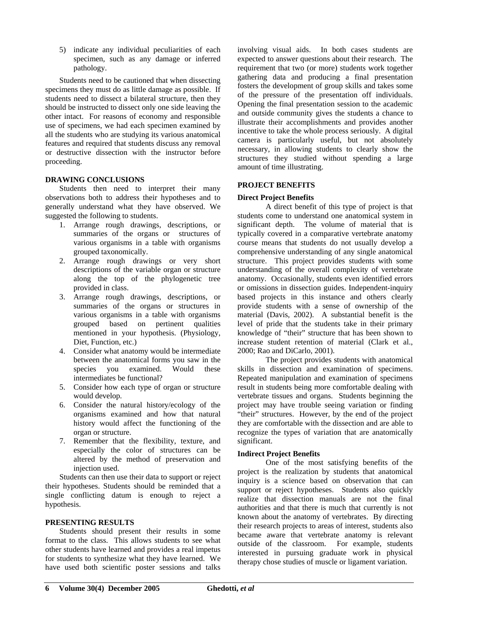5) indicate any individual peculiarities of each specimen, such as any damage or inferred pathology.

Students need to be cautioned that when dissecting specimens they must do as little damage as possible. If students need to dissect a bilateral structure, then they should be instructed to dissect only one side leaving the other intact. For reasons of economy and responsible use of specimens, we had each specimen examined by all the students who are studying its various anatomical features and required that students discuss any removal or destructive dissection with the instructor before proceeding.

#### **DRAWING CONCLUSIONS**

Students then need to interpret their many observations both to address their hypotheses and to generally understand what they have observed. We suggested the following to students.

- 1. Arrange rough drawings, descriptions, or summaries of the organs or structures of various organisms in a table with organisms grouped taxonomically.
- 2. Arrange rough drawings or very short descriptions of the variable organ or structure along the top of the phylogenetic tree provided in class.
- 3. Arrange rough drawings, descriptions, or summaries of the organs or structures in various organisms in a table with organisms grouped based on pertinent qualities mentioned in your hypothesis. (Physiology, Diet, Function, etc.)
- 4. Consider what anatomy would be intermediate between the anatomical forms you saw in the species you examined. Would these intermediates be functional?
- 5. Consider how each type of organ or structure would develop.
- 6. Consider the natural history/ecology of the organisms examined and how that natural history would affect the functioning of the organ or structure.
- 7. Remember that the flexibility, texture, and especially the color of structures can be altered by the method of preservation and injection used.

Students can then use their data to support or reject their hypotheses. Students should be reminded that a single conflicting datum is enough to reject a hypothesis.

#### **PRESENTING RESULTS**

Students should present their results in some format to the class. This allows students to see what other students have learned and provides a real impetus for students to synthesize what they have learned. We have used both scientific poster sessions and talks

involving visual aids. In both cases students are expected to answer questions about their research. The requirement that two (or more) students work together gathering data and producing a final presentation fosters the development of group skills and takes some of the pressure of the presentation off individuals. Opening the final presentation session to the academic and outside community gives the students a chance to illustrate their accomplishments and provides another incentive to take the whole process seriously. A digital camera is particularly useful, but not absolutely necessary, in allowing students to clearly show the structures they studied without spending a large amount of time illustrating.

#### **PROJECT BENEFITS**

#### **Direct Project Benefits**

A direct benefit of this type of project is that students come to understand one anatomical system in significant depth. The volume of material that is typically covered in a comparative vertebrate anatomy course means that students do not usually develop a comprehensive understanding of any single anatomical structure. This project provides students with some understanding of the overall complexity of vertebrate anatomy. Occasionally, students even identified errors or omissions in dissection guides. Independent-inquiry based projects in this instance and others clearly provide students with a sense of ownership of the material (Davis, 2002). A substantial benefit is the level of pride that the students take in their primary knowledge of "their" structure that has been shown to increase student retention of material (Clark et al., 2000; Rao and DiCarlo, 2001).

The project provides students with anatomical skills in dissection and examination of specimens. Repeated manipulation and examination of specimens result in students being more comfortable dealing with vertebrate tissues and organs. Students beginning the project may have trouble seeing variation or finding "their" structures. However, by the end of the project they are comfortable with the dissection and are able to recognize the types of variation that are anatomically significant.

#### **Indirect Project Benefits**

One of the most satisfying benefits of the project is the realization by students that anatomical inquiry is a science based on observation that can support or reject hypotheses. Students also quickly realize that dissection manuals are not the final authorities and that there is much that currently is not known about the anatomy of vertebrates. By directing their research projects to areas of interest, students also became aware that vertebrate anatomy is relevant outside of the classroom. For example, students interested in pursuing graduate work in physical therapy chose studies of muscle or ligament variation.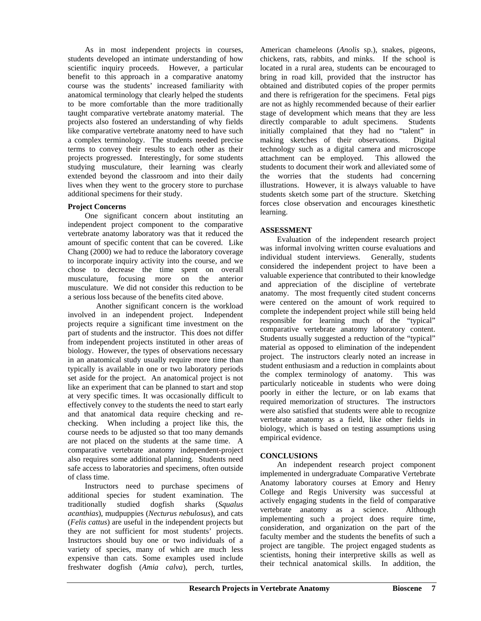As in most independent projects in courses, students developed an intimate understanding of how scientific inquiry proceeds. However, a particular benefit to this approach in a comparative anatomy course was the students' increased familiarity with anatomical terminology that clearly helped the students to be more comfortable than the more traditionally taught comparative vertebrate anatomy material. The projects also fostered an understanding of why fields like comparative vertebrate anatomy need to have such a complex terminology. The students needed precise terms to convey their results to each other as their projects progressed. Interestingly, for some students studying musculature, their learning was clearly extended beyond the classroom and into their daily lives when they went to the grocery store to purchase additional specimens for their study.

# **Project Concerns**

One significant concern about instituting an independent project component to the comparative vertebrate anatomy laboratory was that it reduced the amount of specific content that can be covered. Like Chang (2000) we had to reduce the laboratory coverage to incorporate inquiry activity into the course, and we chose to decrease the time spent on overall musculature, focusing more on the anterior musculature. We did not consider this reduction to be a serious loss because of the benefits cited above.

Another significant concern is the workload involved in an independent project. Independent projects require a significant time investment on the part of students and the instructor. This does not differ from independent projects instituted in other areas of biology. However, the types of observations necessary in an anatomical study usually require more time than typically is available in one or two laboratory periods set aside for the project. An anatomical project is not like an experiment that can be planned to start and stop at very specific times. It was occasionally difficult to effectively convey to the students the need to start early and that anatomical data require checking and rechecking. When including a project like this, the course needs to be adjusted so that too many demands are not placed on the students at the same time. A comparative vertebrate anatomy independent-project also requires some additional planning. Students need safe access to laboratories and specimens, often outside of class time.

Instructors need to purchase specimens of additional species for student examination. The traditionally studied dogfish sharks (*Squalus acanthias*), mudpuppies (*Necturus nebulosus*), and cats (*Felis cattus*) are useful in the independent projects but they are not sufficient for most students' projects. Instructors should buy one or two individuals of a variety of species, many of which are much less expensive than cats. Some examples used include freshwater dogfish (*Amia calva*), perch, turtles, American chameleons (*Anolis* sp.), snakes, pigeons, chickens, rats, rabbits, and minks. If the school is located in a rural area, students can be encouraged to bring in road kill, provided that the instructor has obtained and distributed copies of the proper permits and there is refrigeration for the specimens. Fetal pigs are not as highly recommended because of their earlier stage of development which means that they are less directly comparable to adult specimens. Students initially complained that they had no "talent" in making sketches of their observations. Digital technology such as a digital camera and microscope attachment can be employed. This allowed the students to document their work and alleviated some of the worries that the students had concerning illustrations. However, it is always valuable to have students sketch some part of the structure. Sketching forces close observation and encourages kinesthetic learning.

# **ASSESSMENT**

Evaluation of the independent research project was informal involving written course evaluations and individual student interviews. Generally, students considered the independent project to have been a valuable experience that contributed to their knowledge and appreciation of the discipline of vertebrate anatomy. The most frequently cited student concerns were centered on the amount of work required to complete the independent project while still being held responsible for learning much of the "typical" comparative vertebrate anatomy laboratory content. Students usually suggested a reduction of the "typical" material as opposed to elimination of the independent project. The instructors clearly noted an increase in student enthusiasm and a reduction in complaints about the complex terminology of anatomy. This was particularly noticeable in students who were doing poorly in either the lecture, or on lab exams that required memorization of structures. The instructors were also satisfied that students were able to recognize vertebrate anatomy as a field, like other fields in biology, which is based on testing assumptions using empirical evidence.

# **CONCLUSIONS**

An independent research project component implemented in undergraduate Comparative Vertebrate Anatomy laboratory courses at Emory and Henry College and Regis University was successful at actively engaging students in the field of comparative vertebrate anatomy as a science. Although implementing such a project does require time, consideration, and organization on the part of the faculty member and the students the benefits of such a project are tangible. The project engaged students as scientists, honing their interpretive skills as well as their technical anatomical skills. In addition, the